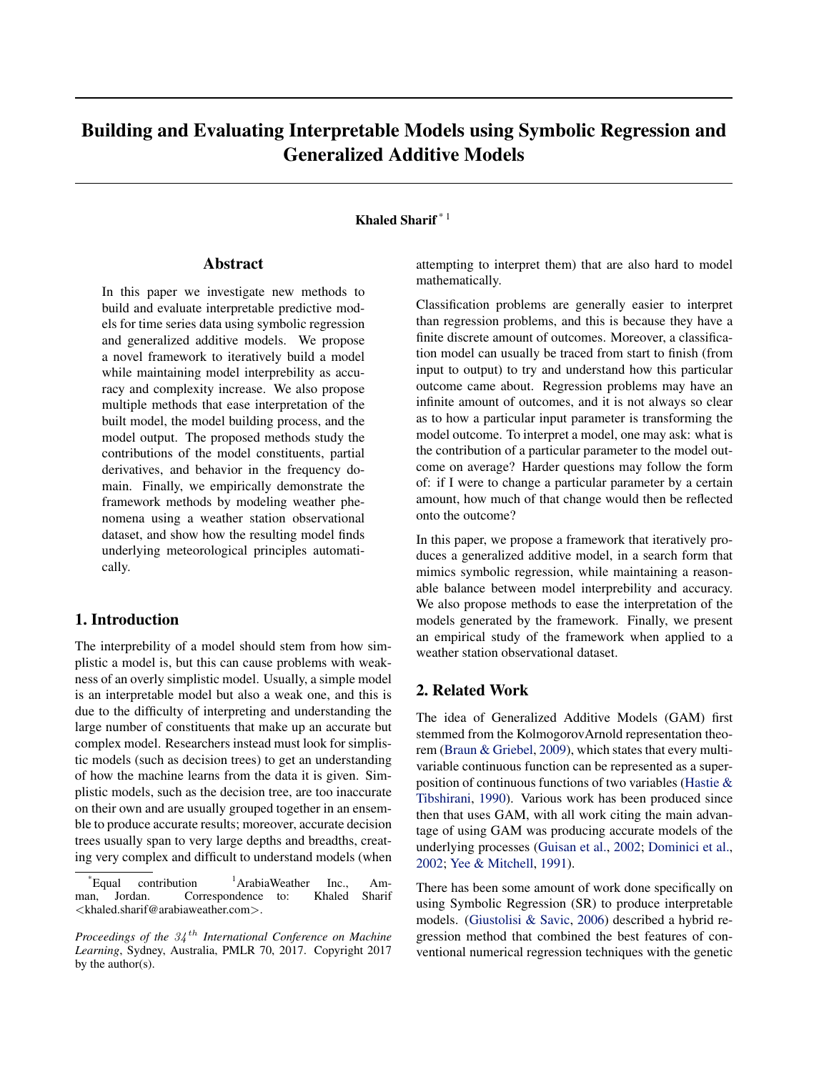# Building and Evaluating Interpretable Models using Symbolic Regression and Generalized Additive Models

# Khaled Sharif \* 1

## Abstract

In this paper we investigate new methods to build and evaluate interpretable predictive models for time series data using symbolic regression and generalized additive models. We propose a novel framework to iteratively build a model while maintaining model interprebility as accuracy and complexity increase. We also propose multiple methods that ease interpretation of the built model, the model building process, and the model output. The proposed methods study the contributions of the model constituents, partial derivatives, and behavior in the frequency domain. Finally, we empirically demonstrate the framework methods by modeling weather phenomena using a weather station observational dataset, and show how the resulting model finds underlying meteorological principles automatically.

# 1. Introduction

The interprebility of a model should stem from how simplistic a model is, but this can cause problems with weakness of an overly simplistic model. Usually, a simple model is an interpretable model but also a weak one, and this is due to the difficulty of interpreting and understanding the large number of constituents that make up an accurate but complex model. Researchers instead must look for simplistic models (such as decision trees) to get an understanding of how the machine learns from the data it is given. Simplistic models, such as the decision tree, are too inaccurate on their own and are usually grouped together in an ensemble to produce accurate results; moreover, accurate decision trees usually span to very large depths and breadths, creating very complex and difficult to understand models (when

attempting to interpret them) that are also hard to model mathematically.

Classification problems are generally easier to interpret than regression problems, and this is because they have a finite discrete amount of outcomes. Moreover, a classification model can usually be traced from start to finish (from input to output) to try and understand how this particular outcome came about. Regression problems may have an infinite amount of outcomes, and it is not always so clear as to how a particular input parameter is transforming the model outcome. To interpret a model, one may ask: what is the contribution of a particular parameter to the model outcome on average? Harder questions may follow the form of: if I were to change a particular parameter by a certain amount, how much of that change would then be reflected onto the outcome?

In this paper, we propose a framework that iteratively produces a generalized additive model, in a search form that mimics symbolic regression, while maintaining a reasonable balance between model interprebility and accuracy. We also propose methods to ease the interpretation of the models generated by the framework. Finally, we present an empirical study of the framework when applied to a weather station observational dataset.

# 2. Related Work

The idea of Generalized Additive Models (GAM) first stemmed from the KolmogorovArnold representation theorem [\(Braun & Griebel,](#page-4-0) [2009\)](#page-4-0), which states that every multivariable continuous function can be represented as a superposition of continuous functions of two variables [\(Hastie &](#page-4-0) [Tibshirani,](#page-4-0) [1990\)](#page-4-0). Various work has been produced since then that uses GAM, with all work citing the main advantage of using GAM was producing accurate models of the underlying processes [\(Guisan et al.,](#page-4-0) [2002;](#page-4-0) [Dominici et al.,](#page-4-0) [2002;](#page-4-0) [Yee & Mitchell,](#page-4-0) [1991\)](#page-4-0).

There has been some amount of work done specifically on using Symbolic Regression (SR) to produce interpretable models. [\(Giustolisi & Savic,](#page-4-0) [2006\)](#page-4-0) described a hybrid regression method that combined the best features of conventional numerical regression techniques with the genetic

 $E$ qual contribution  $1$ ArabiaWeather Inc., Amman, Jordan. Correspondence to: Khaled Sharif <khaled.sharif@arabiaweather.com>.

*Proceedings of the* 34 th *International Conference on Machine Learning*, Sydney, Australia, PMLR 70, 2017. Copyright 2017 by the author(s).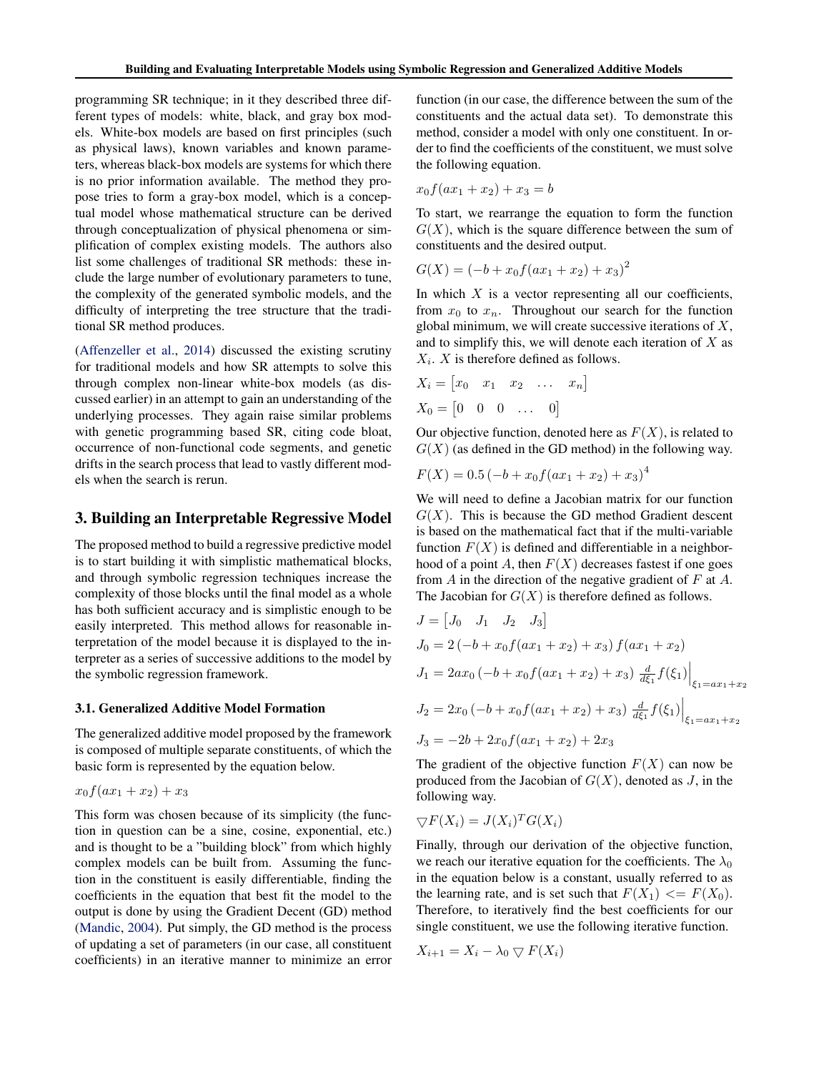programming SR technique; in it they described three different types of models: white, black, and gray box models. White-box models are based on first principles (such as physical laws), known variables and known parameters, whereas black-box models are systems for which there is no prior information available. The method they propose tries to form a gray-box model, which is a conceptual model whose mathematical structure can be derived through conceptualization of physical phenomena or simplification of complex existing models. The authors also list some challenges of traditional SR methods: these include the large number of evolutionary parameters to tune, the complexity of the generated symbolic models, and the difficulty of interpreting the tree structure that the traditional SR method produces.

[\(Affenzeller et al.,](#page-4-0) [2014\)](#page-4-0) discussed the existing scrutiny for traditional models and how SR attempts to solve this through complex non-linear white-box models (as discussed earlier) in an attempt to gain an understanding of the underlying processes. They again raise similar problems with genetic programming based SR, citing code bloat, occurrence of non-functional code segments, and genetic drifts in the search process that lead to vastly different models when the search is rerun.

## 3. Building an Interpretable Regressive Model

The proposed method to build a regressive predictive model is to start building it with simplistic mathematical blocks, and through symbolic regression techniques increase the complexity of those blocks until the final model as a whole has both sufficient accuracy and is simplistic enough to be easily interpreted. This method allows for reasonable interpretation of the model because it is displayed to the interpreter as a series of successive additions to the model by the symbolic regression framework.

#### 3.1. Generalized Additive Model Formation

The generalized additive model proposed by the framework is composed of multiple separate constituents, of which the basic form is represented by the equation below.

$$
x_0f(ax_1+x_2)+x_3
$$

This form was chosen because of its simplicity (the function in question can be a sine, cosine, exponential, etc.) and is thought to be a "building block" from which highly complex models can be built from. Assuming the function in the constituent is easily differentiable, finding the coefficients in the equation that best fit the model to the output is done by using the Gradient Decent (GD) method [\(Mandic,](#page-4-0) [2004\)](#page-4-0). Put simply, the GD method is the process of updating a set of parameters (in our case, all constituent coefficients) in an iterative manner to minimize an error

function (in our case, the difference between the sum of the constituents and the actual data set). To demonstrate this method, consider a model with only one constituent. In order to find the coefficients of the constituent, we must solve the following equation.

$$
x_0 f(ax_1 + x_2) + x_3 = b
$$

To start, we rearrange the equation to form the function  $G(X)$ , which is the square difference between the sum of constituents and the desired output.

$$
G(X) = (-b + x_0 f(ax_1 + x_2) + x_3)^2
$$

In which  $X$  is a vector representing all our coefficients, from  $x_0$  to  $x_n$ . Throughout our search for the function global minimum, we will create successive iterations of  $X$ , and to simplify this, we will denote each iteration of  $X$  as  $X_i$ . X is therefore defined as follows.

1

$$
X_i = \begin{bmatrix} x_0 & x_1 & x_2 & \dots & x_n \end{bmatrix}
$$

$$
X_0 = \begin{bmatrix} 0 & 0 & 0 & \dots & 0 \end{bmatrix}
$$

Our objective function, denoted here as  $F(X)$ , is related to  $G(X)$  (as defined in the GD method) in the following way.

$$
F(X) = 0.5\left(-b + x_0f(ax_1 + x_2) + x_3\right)^4
$$

We will need to define a Jacobian matrix for our function  $G(X)$ . This is because the GD method Gradient descent is based on the mathematical fact that if the multi-variable function  $F(X)$  is defined and differentiable in a neighborhood of a point A, then  $F(X)$  decreases fastest if one goes from  $A$  in the direction of the negative gradient of  $F$  at  $A$ . The Jacobian for  $G(X)$  is therefore defined as follows.

$$
J = [J_0 \t J_1 \t J_2 \t J_3]
$$
  
\n
$$
J_0 = 2(-b + x_0f(ax_1 + x_2) + x_3) f(ax_1 + x_2)
$$
  
\n
$$
J_1 = 2ax_0(-b + x_0f(ax_1 + x_2) + x_3) \frac{d}{d\xi_1}f(\xi_1)\Big|_{\xi_1 = ax_1 + x_2}
$$
  
\n
$$
J_2 = 2x_0(-b + x_0f(ax_1 + x_2) + x_3) \frac{d}{d\xi_1}f(\xi_1)\Big|_{\xi_1 = ax_1 + x_2}
$$
  
\n
$$
J_3 = -2b + 2x_0f(ax_1 + x_2) + 2x_3
$$

The gradient of the objective function  $F(X)$  can now be produced from the Jacobian of  $G(X)$ , denoted as  $J$ , in the following way.

$$
\nabla F(X_i) = J(X_i)^T G(X_i)
$$

Finally, through our derivation of the objective function, we reach our iterative equation for the coefficients. The  $\lambda_0$ in the equation below is a constant, usually referred to as the learning rate, and is set such that  $F(X_1) \leq F(X_0)$ . Therefore, to iteratively find the best coefficients for our single constituent, we use the following iterative function.

$$
X_{i+1} = X_i - \lambda_0 \nabla F(X_i)
$$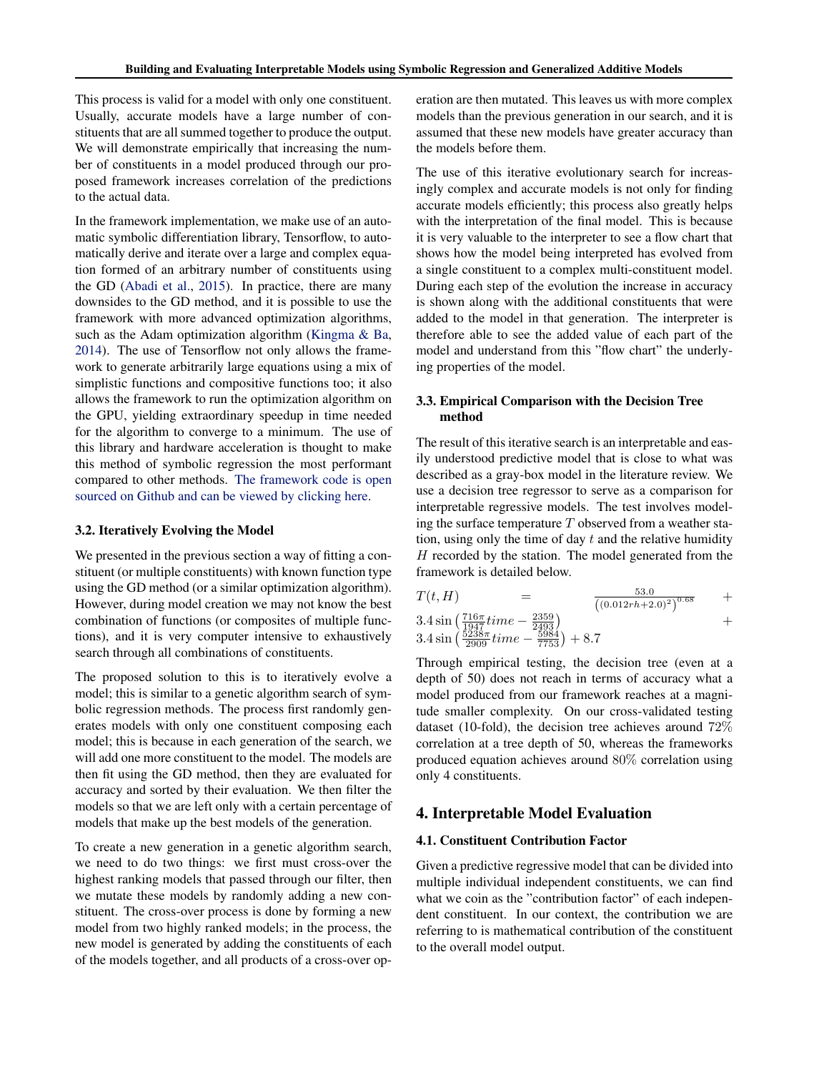This process is valid for a model with only one constituent. Usually, accurate models have a large number of constituents that are all summed together to produce the output. We will demonstrate empirically that increasing the number of constituents in a model produced through our proposed framework increases correlation of the predictions to the actual data.

In the framework implementation, we make use of an automatic symbolic differentiation library, Tensorflow, to automatically derive and iterate over a large and complex equation formed of an arbitrary number of constituents using the GD [\(Abadi et al.,](#page-4-0) [2015\)](#page-4-0). In practice, there are many downsides to the GD method, and it is possible to use the framework with more advanced optimization algorithms, such as the Adam optimization algorithm [\(Kingma & Ba,](#page-4-0) [2014\)](#page-4-0). The use of Tensorflow not only allows the framework to generate arbitrarily large equations using a mix of simplistic functions and compositive functions too; it also allows the framework to run the optimization algorithm on the GPU, yielding extraordinary speedup in time needed for the algorithm to converge to a minimum. The use of this library and hardware acceleration is thought to make this method of symbolic regression the most performant compared to other methods. [The framework code is open](https://github.com/arabiaweather/athena) [sourced on Github and can be viewed by clicking here.](https://github.com/arabiaweather/athena)

#### 3.2. Iteratively Evolving the Model

We presented in the previous section a way of fitting a constituent (or multiple constituents) with known function type using the GD method (or a similar optimization algorithm). However, during model creation we may not know the best combination of functions (or composites of multiple functions), and it is very computer intensive to exhaustively search through all combinations of constituents.

The proposed solution to this is to iteratively evolve a model; this is similar to a genetic algorithm search of symbolic regression methods. The process first randomly generates models with only one constituent composing each model; this is because in each generation of the search, we will add one more constituent to the model. The models are then fit using the GD method, then they are evaluated for accuracy and sorted by their evaluation. We then filter the models so that we are left only with a certain percentage of models that make up the best models of the generation.

To create a new generation in a genetic algorithm search, we need to do two things: we first must cross-over the highest ranking models that passed through our filter, then we mutate these models by randomly adding a new constituent. The cross-over process is done by forming a new model from two highly ranked models; in the process, the new model is generated by adding the constituents of each of the models together, and all products of a cross-over operation are then mutated. This leaves us with more complex models than the previous generation in our search, and it is assumed that these new models have greater accuracy than the models before them.

The use of this iterative evolutionary search for increasingly complex and accurate models is not only for finding accurate models efficiently; this process also greatly helps with the interpretation of the final model. This is because it is very valuable to the interpreter to see a flow chart that shows how the model being interpreted has evolved from a single constituent to a complex multi-constituent model. During each step of the evolution the increase in accuracy is shown along with the additional constituents that were added to the model in that generation. The interpreter is therefore able to see the added value of each part of the model and understand from this "flow chart" the underlying properties of the model.

### 3.3. Empirical Comparison with the Decision Tree method

The result of this iterative search is an interpretable and easily understood predictive model that is close to what was described as a gray-box model in the literature review. We use a decision tree regressor to serve as a comparison for interpretable regressive models. The test involves modeling the surface temperature  $T$  observed from a weather station, using only the time of day  $t$  and the relative humidity  $H$  recorded by the station. The model generated from the framework is detailed below.

$$
T(t, H) = \frac{53.0}{( (0.012rh + 2.0)^2)^{0.68}} +
$$
  
3.4 sin  $\left(\frac{716\pi}{1947} \text{time} - \frac{2359}{2493}\right)$   
3.4 sin  $\left(\frac{5238\pi}{2909} \text{time} - \frac{5984}{7753}\right) + 8.7$ 

Through empirical testing, the decision tree (even at a depth of 50) does not reach in terms of accuracy what a model produced from our framework reaches at a magnitude smaller complexity. On our cross-validated testing dataset (10-fold), the decision tree achieves around 72% correlation at a tree depth of 50, whereas the frameworks produced equation achieves around 80% correlation using only 4 constituents.

## 4. Interpretable Model Evaluation

## 4.1. Constituent Contribution Factor

Given a predictive regressive model that can be divided into multiple individual independent constituents, we can find what we coin as the "contribution factor" of each independent constituent. In our context, the contribution we are referring to is mathematical contribution of the constituent to the overall model output.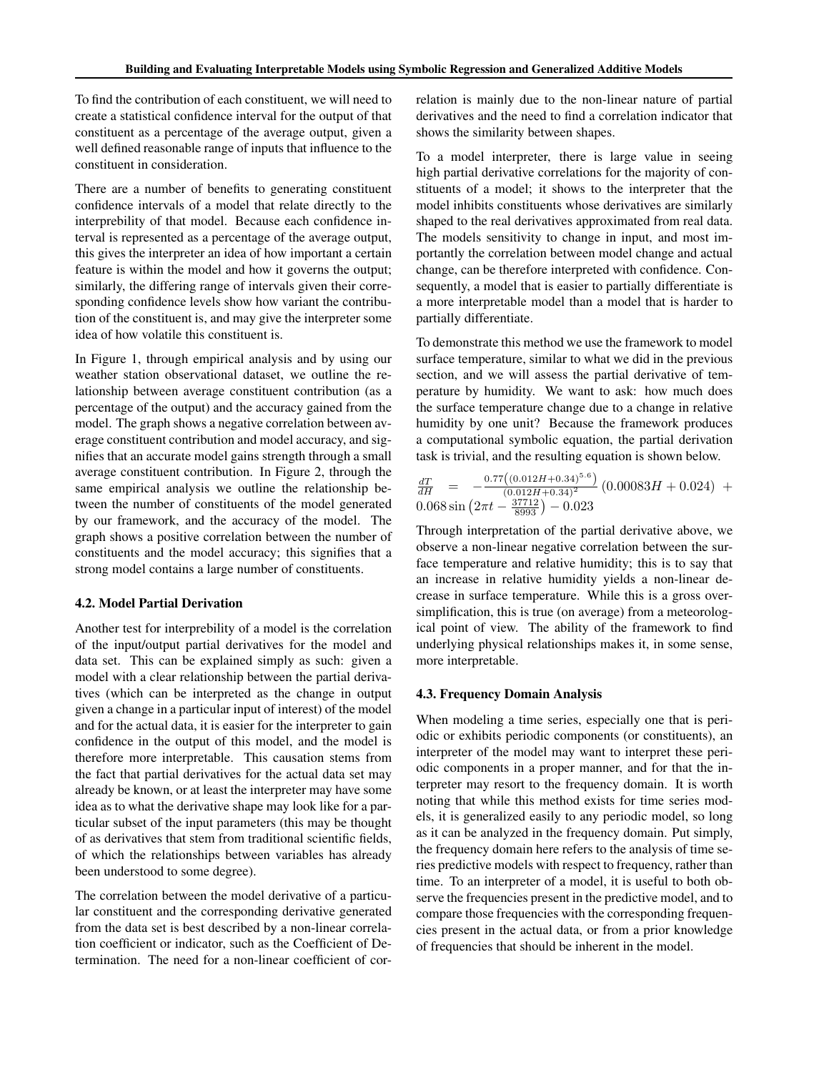To find the contribution of each constituent, we will need to create a statistical confidence interval for the output of that constituent as a percentage of the average output, given a well defined reasonable range of inputs that influence to the constituent in consideration.

There are a number of benefits to generating constituent confidence intervals of a model that relate directly to the interprebility of that model. Because each confidence interval is represented as a percentage of the average output, this gives the interpreter an idea of how important a certain feature is within the model and how it governs the output; similarly, the differing range of intervals given their corresponding confidence levels show how variant the contribution of the constituent is, and may give the interpreter some idea of how volatile this constituent is.

In Figure 1, through empirical analysis and by using our weather station observational dataset, we outline the relationship between average constituent contribution (as a percentage of the output) and the accuracy gained from the model. The graph shows a negative correlation between average constituent contribution and model accuracy, and signifies that an accurate model gains strength through a small average constituent contribution. In Figure 2, through the same empirical analysis we outline the relationship between the number of constituents of the model generated by our framework, and the accuracy of the model. The graph shows a positive correlation between the number of constituents and the model accuracy; this signifies that a strong model contains a large number of constituents.

#### 4.2. Model Partial Derivation

Another test for interprebility of a model is the correlation of the input/output partial derivatives for the model and data set. This can be explained simply as such: given a model with a clear relationship between the partial derivatives (which can be interpreted as the change in output given a change in a particular input of interest) of the model and for the actual data, it is easier for the interpreter to gain confidence in the output of this model, and the model is therefore more interpretable. This causation stems from the fact that partial derivatives for the actual data set may already be known, or at least the interpreter may have some idea as to what the derivative shape may look like for a particular subset of the input parameters (this may be thought of as derivatives that stem from traditional scientific fields, of which the relationships between variables has already been understood to some degree).

The correlation between the model derivative of a particular constituent and the corresponding derivative generated from the data set is best described by a non-linear correlation coefficient or indicator, such as the Coefficient of Determination. The need for a non-linear coefficient of correlation is mainly due to the non-linear nature of partial derivatives and the need to find a correlation indicator that shows the similarity between shapes.

To a model interpreter, there is large value in seeing high partial derivative correlations for the majority of constituents of a model; it shows to the interpreter that the model inhibits constituents whose derivatives are similarly shaped to the real derivatives approximated from real data. The models sensitivity to change in input, and most importantly the correlation between model change and actual change, can be therefore interpreted with confidence. Consequently, a model that is easier to partially differentiate is a more interpretable model than a model that is harder to partially differentiate.

To demonstrate this method we use the framework to model surface temperature, similar to what we did in the previous section, and we will assess the partial derivative of temperature by humidity. We want to ask: how much does the surface temperature change due to a change in relative humidity by one unit? Because the framework produces a computational symbolic equation, the partial derivation task is trivial, and the resulting equation is shown below.

$$
\frac{dT}{dH} = -\frac{0.77((0.012H + 0.34)^{5.6})}{(0.012H + 0.34)^2} (0.00083H + 0.024) + 0.068 \sin (2\pi t - \frac{37712}{8993}) - 0.023
$$

Through interpretation of the partial derivative above, we observe a non-linear negative correlation between the surface temperature and relative humidity; this is to say that an increase in relative humidity yields a non-linear decrease in surface temperature. While this is a gross oversimplification, this is true (on average) from a meteorological point of view. The ability of the framework to find underlying physical relationships makes it, in some sense, more interpretable.

#### 4.3. Frequency Domain Analysis

When modeling a time series, especially one that is periodic or exhibits periodic components (or constituents), an interpreter of the model may want to interpret these periodic components in a proper manner, and for that the interpreter may resort to the frequency domain. It is worth noting that while this method exists for time series models, it is generalized easily to any periodic model, so long as it can be analyzed in the frequency domain. Put simply, the frequency domain here refers to the analysis of time series predictive models with respect to frequency, rather than time. To an interpreter of a model, it is useful to both observe the frequencies present in the predictive model, and to compare those frequencies with the corresponding frequencies present in the actual data, or from a prior knowledge of frequencies that should be inherent in the model.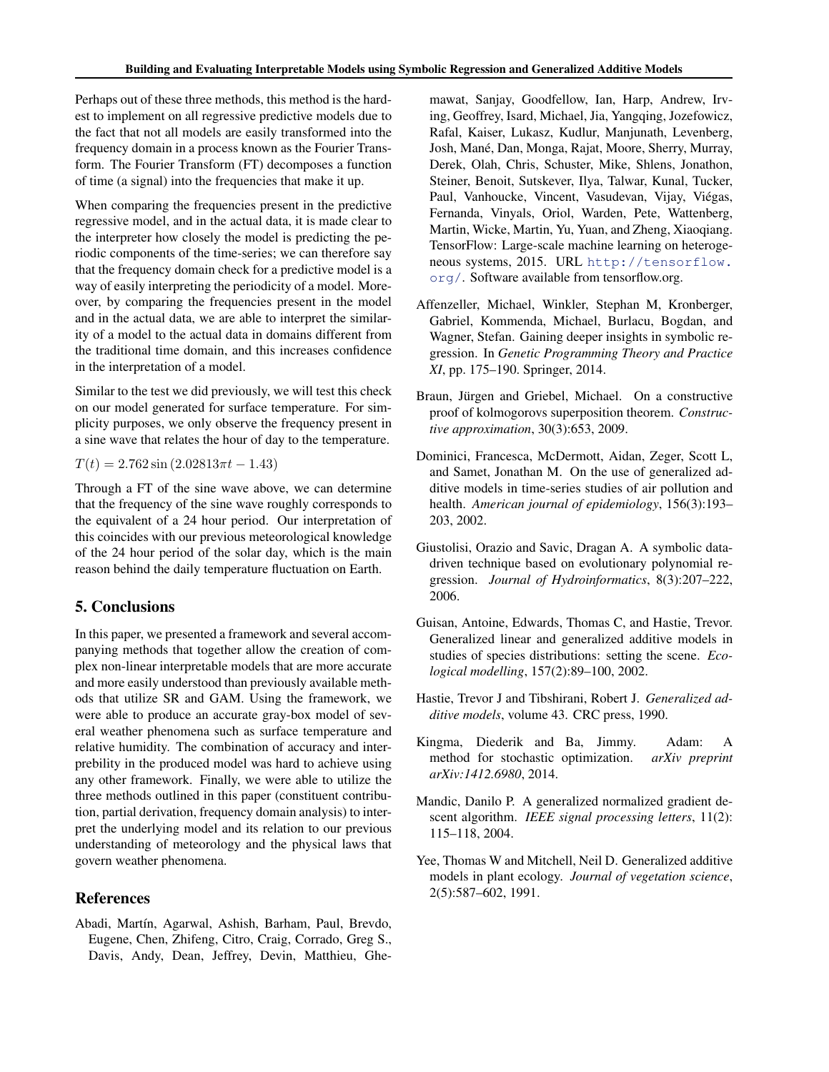<span id="page-4-0"></span>Perhaps out of these three methods, this method is the hardest to implement on all regressive predictive models due to the fact that not all models are easily transformed into the frequency domain in a process known as the Fourier Transform. The Fourier Transform (FT) decomposes a function of time (a signal) into the frequencies that make it up.

When comparing the frequencies present in the predictive regressive model, and in the actual data, it is made clear to the interpreter how closely the model is predicting the periodic components of the time-series; we can therefore say that the frequency domain check for a predictive model is a way of easily interpreting the periodicity of a model. Moreover, by comparing the frequencies present in the model and in the actual data, we are able to interpret the similarity of a model to the actual data in domains different from the traditional time domain, and this increases confidence in the interpretation of a model.

Similar to the test we did previously, we will test this check on our model generated for surface temperature. For simplicity purposes, we only observe the frequency present in a sine wave that relates the hour of day to the temperature.

 $T(t) = 2.762 \sin (2.02813 \pi t - 1.43)$ 

Through a FT of the sine wave above, we can determine that the frequency of the sine wave roughly corresponds to the equivalent of a 24 hour period. Our interpretation of this coincides with our previous meteorological knowledge of the 24 hour period of the solar day, which is the main reason behind the daily temperature fluctuation on Earth.

## 5. Conclusions

In this paper, we presented a framework and several accompanying methods that together allow the creation of complex non-linear interpretable models that are more accurate and more easily understood than previously available methods that utilize SR and GAM. Using the framework, we were able to produce an accurate gray-box model of several weather phenomena such as surface temperature and relative humidity. The combination of accuracy and interprebility in the produced model was hard to achieve using any other framework. Finally, we were able to utilize the three methods outlined in this paper (constituent contribution, partial derivation, frequency domain analysis) to interpret the underlying model and its relation to our previous understanding of meteorology and the physical laws that govern weather phenomena.

## References

Abadi, Martín, Agarwal, Ashish, Barham, Paul, Brevdo, Eugene, Chen, Zhifeng, Citro, Craig, Corrado, Greg S., Davis, Andy, Dean, Jeffrey, Devin, Matthieu, Ghe-

mawat, Sanjay, Goodfellow, Ian, Harp, Andrew, Irving, Geoffrey, Isard, Michael, Jia, Yangqing, Jozefowicz, Rafal, Kaiser, Lukasz, Kudlur, Manjunath, Levenberg, Josh, Mane, Dan, Monga, Rajat, Moore, Sherry, Murray, ´ Derek, Olah, Chris, Schuster, Mike, Shlens, Jonathon, Steiner, Benoit, Sutskever, Ilya, Talwar, Kunal, Tucker, Paul, Vanhoucke, Vincent, Vasudevan, Vijay, Viegas, ´ Fernanda, Vinyals, Oriol, Warden, Pete, Wattenberg, Martin, Wicke, Martin, Yu, Yuan, and Zheng, Xiaoqiang. TensorFlow: Large-scale machine learning on heterogeneous systems, 2015. URL [http://tensorflow.](http://tensorflow.org/) [org/](http://tensorflow.org/). Software available from tensorflow.org.

- Affenzeller, Michael, Winkler, Stephan M, Kronberger, Gabriel, Kommenda, Michael, Burlacu, Bogdan, and Wagner, Stefan. Gaining deeper insights in symbolic regression. In *Genetic Programming Theory and Practice XI*, pp. 175–190. Springer, 2014.
- Braun, Jürgen and Griebel, Michael. On a constructive proof of kolmogorovs superposition theorem. *Constructive approximation*, 30(3):653, 2009.
- Dominici, Francesca, McDermott, Aidan, Zeger, Scott L, and Samet, Jonathan M. On the use of generalized additive models in time-series studies of air pollution and health. *American journal of epidemiology*, 156(3):193– 203, 2002.
- Giustolisi, Orazio and Savic, Dragan A. A symbolic datadriven technique based on evolutionary polynomial regression. *Journal of Hydroinformatics*, 8(3):207–222, 2006.
- Guisan, Antoine, Edwards, Thomas C, and Hastie, Trevor. Generalized linear and generalized additive models in studies of species distributions: setting the scene. *Ecological modelling*, 157(2):89–100, 2002.
- Hastie, Trevor J and Tibshirani, Robert J. *Generalized additive models*, volume 43. CRC press, 1990.
- Kingma, Diederik and Ba, Jimmy. Adam: A method for stochastic optimization. *arXiv preprint arXiv:1412.6980*, 2014.
- Mandic, Danilo P. A generalized normalized gradient descent algorithm. *IEEE signal processing letters*, 11(2): 115–118, 2004.
- Yee, Thomas W and Mitchell, Neil D. Generalized additive models in plant ecology. *Journal of vegetation science*, 2(5):587–602, 1991.